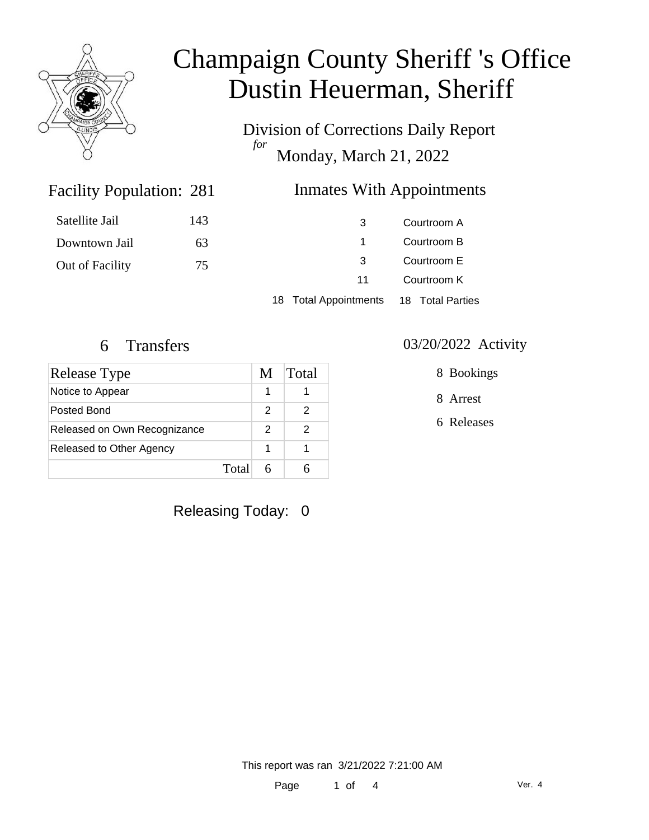

Division of Corrections Daily Report *for* Monday, March 21, 2022

### Inmates With Appointments

| Satellite Jail  | 143 | 3                     | Courtroom A      |
|-----------------|-----|-----------------------|------------------|
| Downtown Jail   | 63  |                       | Courtroom B      |
| Out of Facility | 75  | -3                    | Courtroom E      |
|                 |     | 11                    | Courtroom K      |
|                 |     | 18 Total Appointments | 18 Total Parties |

Facility Population: 281

| <b>Release Type</b>          | M | Total |
|------------------------------|---|-------|
| Notice to Appear             | 1 |       |
| Posted Bond                  | 2 |       |
| Released on Own Recognizance | 2 |       |
| Released to Other Agency     | 1 |       |
| Total                        |   |       |

Releasing Today: 0

6 Transfers 03/20/2022 Activity

8 Bookings

8 Arrest

6 Releases

This report was ran 3/21/2022 7:21:00 AM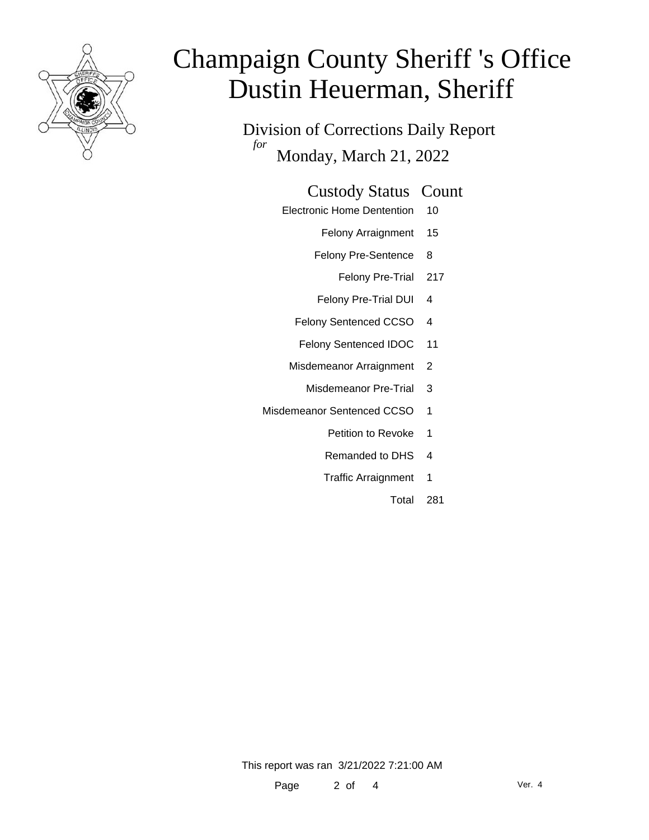

Division of Corrections Daily Report *for* Monday, March 21, 2022

### Custody Status Count

- Electronic Home Dentention 10
	- Felony Arraignment 15
	- Felony Pre-Sentence 8
		- Felony Pre-Trial 217
	- Felony Pre-Trial DUI 4
	- Felony Sentenced CCSO 4
	- Felony Sentenced IDOC 11
	- Misdemeanor Arraignment 2
		- Misdemeanor Pre-Trial 3
- Misdemeanor Sentenced CCSO 1
	- Petition to Revoke 1
	- Remanded to DHS 4
	- Traffic Arraignment 1
		- Total 281

This report was ran 3/21/2022 7:21:00 AM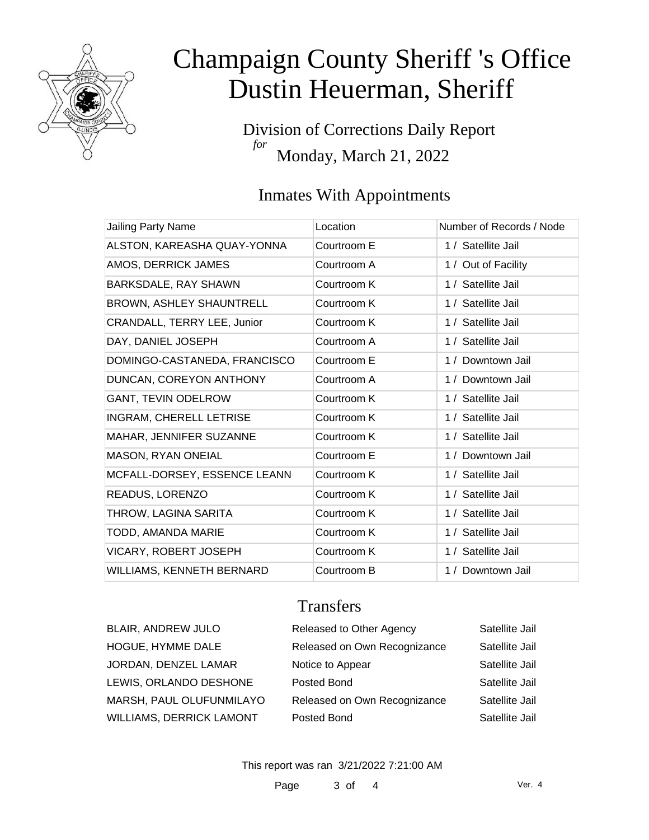

Division of Corrections Daily Report *for* Monday, March 21, 2022

### Inmates With Appointments

| Jailing Party Name              | Location    | Number of Records / Node |
|---------------------------------|-------------|--------------------------|
| ALSTON, KAREASHA QUAY-YONNA     | Courtroom E | 1 / Satellite Jail       |
| AMOS, DERRICK JAMES             | Courtroom A | 1 / Out of Facility      |
| BARKSDALE, RAY SHAWN            | Courtroom K | 1 / Satellite Jail       |
| <b>BROWN, ASHLEY SHAUNTRELL</b> | Courtroom K | 1 / Satellite Jail       |
| CRANDALL, TERRY LEE, Junior     | Courtroom K | 1 / Satellite Jail       |
| DAY, DANIEL JOSEPH              | Courtroom A | 1 / Satellite Jail       |
| DOMINGO-CASTANEDA, FRANCISCO    | Courtroom E | 1 / Downtown Jail        |
| DUNCAN, COREYON ANTHONY         | Courtroom A | 1 / Downtown Jail        |
| <b>GANT, TEVIN ODELROW</b>      | Courtroom K | 1 / Satellite Jail       |
| <b>INGRAM, CHERELL LETRISE</b>  | Courtroom K | 1 / Satellite Jail       |
| MAHAR, JENNIFER SUZANNE         | Courtroom K | 1 / Satellite Jail       |
| MASON, RYAN ONEIAL              | Courtroom E | 1 / Downtown Jail        |
| MCFALL-DORSEY, ESSENCE LEANN    | Courtroom K | 1 / Satellite Jail       |
| READUS, LORENZO                 | Courtroom K | 1 / Satellite Jail       |
| THROW, LAGINA SARITA            | Courtroom K | 1 / Satellite Jail       |
| TODD, AMANDA MARIE              | Courtroom K | 1 / Satellite Jail       |
| <b>VICARY, ROBERT JOSEPH</b>    | Courtroom K | 1 / Satellite Jail       |
| WILLIAMS, KENNETH BERNARD       | Courtroom B | 1 / Downtown Jail        |

### **Transfers**

| <b>BLAIR, ANDREW JULO</b> | Released to Other Agency     | Satellite Jail |
|---------------------------|------------------------------|----------------|
| HOGUE, HYMME DALE         | Released on Own Recognizance | Satellite Jail |
| JORDAN, DENZEL LAMAR      | Notice to Appear             | Satellite Jail |
| LEWIS, ORLANDO DESHONE    | Posted Bond                  | Satellite Jail |
| MARSH, PAUL OLUFUNMILAYO  | Released on Own Recognizance | Satellite Jail |
| WILLIAMS, DERRICK LAMONT  | Posted Bond                  | Satellite Jail |

This report was ran 3/21/2022 7:21:00 AM